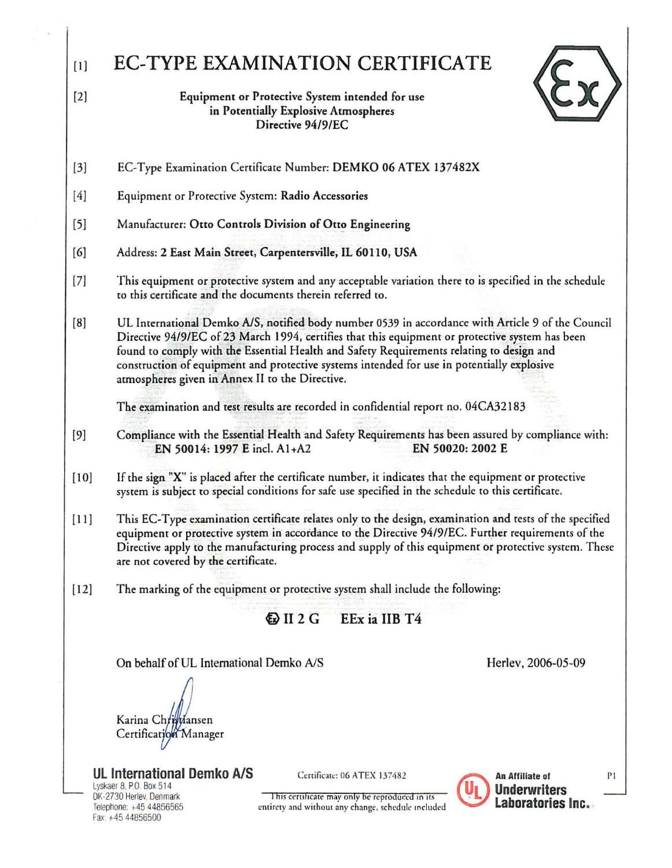| $[1]$  | EC-TYPE EXAMINATION CERTIFICATE                                                                                                                                                                                                                                                                                                                                                                                                                   |  |  |  |  |  |  |  |  |
|--------|---------------------------------------------------------------------------------------------------------------------------------------------------------------------------------------------------------------------------------------------------------------------------------------------------------------------------------------------------------------------------------------------------------------------------------------------------|--|--|--|--|--|--|--|--|
| $[2]$  | Equipment or Protective System intended for use<br>in Potentially Explosive Atmospheres<br>Directive 94/9/EC                                                                                                                                                                                                                                                                                                                                      |  |  |  |  |  |  |  |  |
| $[3]$  | EC-Type Examination Certificate Number: DEMKO 06 ATEX 137482X                                                                                                                                                                                                                                                                                                                                                                                     |  |  |  |  |  |  |  |  |
| $[4]$  | Equipment or Protective System: Radio Accessories                                                                                                                                                                                                                                                                                                                                                                                                 |  |  |  |  |  |  |  |  |
| $[5]$  | Manufacturer: Otto Controls Division of Otto Engineering                                                                                                                                                                                                                                                                                                                                                                                          |  |  |  |  |  |  |  |  |
| [6]    | Address: 2 East Main Street, Carpentersville, IL 60110, USA                                                                                                                                                                                                                                                                                                                                                                                       |  |  |  |  |  |  |  |  |
| $[7]$  | This equipment or protective system and any acceptable variation there to is specified in the schedule<br>to this certificate and the documents therein referred to.                                                                                                                                                                                                                                                                              |  |  |  |  |  |  |  |  |
| [8]    | UL International Demko A/S, notified body number 0539 in accordance with Article 9 of the Council<br>Directive 94/9/EC of 23 March 1994, certifies that this equipment or protective system has been<br>found to comply with the Essential Health and Safety Requirements relating to design and<br>construction of equipment and protective systems intended for use in potentially explosive<br>atmospheres given in Annex II to the Directive. |  |  |  |  |  |  |  |  |
|        | The examination and test results are recorded in confidential report no. 04CA32183                                                                                                                                                                                                                                                                                                                                                                |  |  |  |  |  |  |  |  |
| $[9]$  | Compliance with the Essential Health and Safety Requirements has been assured by compliance with:<br>EN 50014: 1997 E incl. A1+A2<br>EN 50020: 2002 E                                                                                                                                                                                                                                                                                             |  |  |  |  |  |  |  |  |
| $[10]$ | If the sign "X" is placed after the certificate number, it indicates that the equipment or protective<br>system is subject to special conditions for safe use specified in the schedule to this certificate.                                                                                                                                                                                                                                      |  |  |  |  |  |  |  |  |
| $[11]$ | This EC-Type examination certificate relates only to the design, examination and tests of the specified<br>equipment or protective system in accordance to the Directive 94/9/EC. Further requirements of the<br>Directive apply to the manufacturing process and supply of this equipment or protective system. These<br>are not covered by the certificate.                                                                                     |  |  |  |  |  |  |  |  |
| $[12]$ | The marking of the equipment or protective system shall include the following:                                                                                                                                                                                                                                                                                                                                                                    |  |  |  |  |  |  |  |  |
|        | $\bigcirc$ II 2 G<br>EEx ia IIB T4                                                                                                                                                                                                                                                                                                                                                                                                                |  |  |  |  |  |  |  |  |
|        | On behalf of UL International Demko A/S<br>Herlev, 2006-05-09                                                                                                                                                                                                                                                                                                                                                                                     |  |  |  |  |  |  |  |  |
|        | Karina Christiansen<br>Certification Manager                                                                                                                                                                                                                                                                                                                                                                                                      |  |  |  |  |  |  |  |  |
|        | <b>UL International Demko A/S</b><br>Certificate: 06 ATEX 137482<br>An Affiliate of<br>P1.<br>Lyskaer 8, P.O. Box 514<br><b>Underwriters</b><br>DK-2730 Herlev, Denmark<br>This certificate may only be reproduced in its<br>Laboratories Inc.<br>Telephone: +45 44856565<br>entirety and without any change, schedule included<br>Fax: +45 44856500                                                                                              |  |  |  |  |  |  |  |  |

 $\overline{\mathbf{s}}$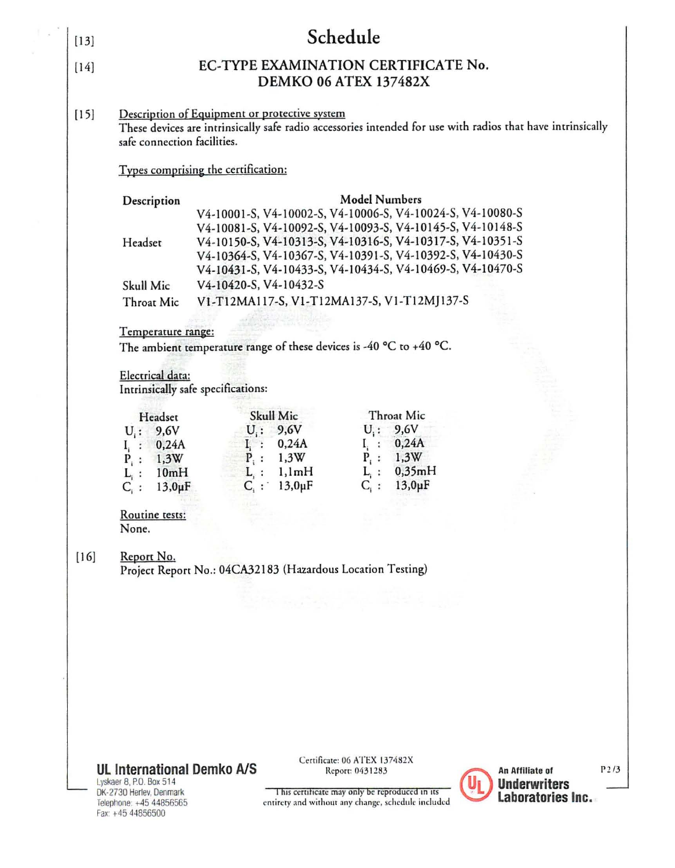| $[13]$                                                                             |                                                                                                                                                                                                                                                                 |                                             | Schedule                                                                                             |                               |                                        |      |  |  |  |  |  |
|------------------------------------------------------------------------------------|-----------------------------------------------------------------------------------------------------------------------------------------------------------------------------------------------------------------------------------------------------------------|---------------------------------------------|------------------------------------------------------------------------------------------------------|-------------------------------|----------------------------------------|------|--|--|--|--|--|
| EC-TYPE EXAMINATION CERTIFICATE No.<br>[14]<br><b>DEMKO 06 ATEX 137482X</b>        |                                                                                                                                                                                                                                                                 |                                             |                                                                                                      |                               |                                        |      |  |  |  |  |  |
| $[15]$                                                                             | Description of Equipment or protective system<br>These devices are intrinsically safe radio accessories intended for use with radios that have intrinsically<br>safe connection facilities.                                                                     |                                             |                                                                                                      |                               |                                        |      |  |  |  |  |  |
|                                                                                    | Types comprising the certification:                                                                                                                                                                                                                             |                                             |                                                                                                      |                               |                                        |      |  |  |  |  |  |
|                                                                                    | V4-10001-S, V4-10002-S, V4-10006-S, V4-10024-S, V4-10080-S                                                                                                                                                                                                      |                                             |                                                                                                      |                               |                                        |      |  |  |  |  |  |
|                                                                                    | V4-10081-S, V4-10092-S, V4-10093-S, V4-10145-S, V4-10148-S<br>V4-10150-S, V4-10313-S, V4-10316-S, V4-10317-S, V4-10351-S<br>Headset<br>V4-10364-S, V4-10367-S, V4-10391-S, V4-10392-S, V4-10430-S<br>V4-10431-S, V4-10433-S, V4-10434-S, V4-10469-S, V4-10470-S |                                             |                                                                                                      |                               |                                        |      |  |  |  |  |  |
|                                                                                    | Skull Mic                                                                                                                                                                                                                                                       | V4-10420-S, V4-10432-S                      |                                                                                                      |                               |                                        |      |  |  |  |  |  |
|                                                                                    | Throat Mic                                                                                                                                                                                                                                                      | V1-T12MA117-S, V1-T12MA137-S, V1-T12MJ137-S |                                                                                                      |                               |                                        |      |  |  |  |  |  |
|                                                                                    |                                                                                                                                                                                                                                                                 |                                             |                                                                                                      |                               |                                        |      |  |  |  |  |  |
|                                                                                    | Temperature range:                                                                                                                                                                                                                                              |                                             |                                                                                                      |                               |                                        |      |  |  |  |  |  |
|                                                                                    | The ambient temperature range of these devices is -40 $^{\circ}$ C to +40 $^{\circ}$ C.                                                                                                                                                                         |                                             |                                                                                                      |                               |                                        |      |  |  |  |  |  |
| Electrical data:<br>Intrinsically safe specifications:                             |                                                                                                                                                                                                                                                                 |                                             |                                                                                                      |                               |                                        |      |  |  |  |  |  |
|                                                                                    | Headset                                                                                                                                                                                                                                                         | Skull Mic                                   |                                                                                                      | Throat Mic                    |                                        |      |  |  |  |  |  |
|                                                                                    | $U_i$ : 9,6V                                                                                                                                                                                                                                                    | $U_i: 9,6V$                                 |                                                                                                      | $U_i: 9,6V$                   |                                        |      |  |  |  |  |  |
|                                                                                    | $I_i : 0,24A$                                                                                                                                                                                                                                                   | $I_i : 0,24A$                               | $I_i$ :                                                                                              | 0,24A                         |                                        |      |  |  |  |  |  |
|                                                                                    | $P_i: 1,3W$                                                                                                                                                                                                                                                     | $P_i: 1,3W$<br>$L_i$ : 1,1mH                |                                                                                                      | $P_i : 1,3W$<br>$L_i: 0,35mH$ |                                        |      |  |  |  |  |  |
|                                                                                    | $L_i$ : 10mH<br>$13.0 \mu F$<br>$C_i$ :                                                                                                                                                                                                                         | $13.0 \mu F$                                | $C_i$ :                                                                                              | $13,0 \mu F$                  |                                        |      |  |  |  |  |  |
|                                                                                    | Routine tests:<br>None.                                                                                                                                                                                                                                         |                                             |                                                                                                      |                               |                                        |      |  |  |  |  |  |
|                                                                                    |                                                                                                                                                                                                                                                                 |                                             |                                                                                                      |                               |                                        |      |  |  |  |  |  |
| $[16]$<br>Report No.<br>Project Report No.: 04CA32183 (Hazardous Location Testing) |                                                                                                                                                                                                                                                                 |                                             |                                                                                                      |                               |                                        |      |  |  |  |  |  |
|                                                                                    |                                                                                                                                                                                                                                                                 |                                             |                                                                                                      |                               |                                        |      |  |  |  |  |  |
|                                                                                    |                                                                                                                                                                                                                                                                 |                                             |                                                                                                      |                               |                                        |      |  |  |  |  |  |
|                                                                                    |                                                                                                                                                                                                                                                                 |                                             |                                                                                                      |                               |                                        |      |  |  |  |  |  |
|                                                                                    |                                                                                                                                                                                                                                                                 |                                             |                                                                                                      |                               |                                        |      |  |  |  |  |  |
|                                                                                    |                                                                                                                                                                                                                                                                 |                                             |                                                                                                      |                               |                                        |      |  |  |  |  |  |
|                                                                                    |                                                                                                                                                                                                                                                                 |                                             |                                                                                                      |                               |                                        |      |  |  |  |  |  |
|                                                                                    |                                                                                                                                                                                                                                                                 |                                             |                                                                                                      |                               |                                        |      |  |  |  |  |  |
|                                                                                    |                                                                                                                                                                                                                                                                 |                                             |                                                                                                      |                               |                                        |      |  |  |  |  |  |
|                                                                                    |                                                                                                                                                                                                                                                                 |                                             | Certificate: 06 ATEX 137482X                                                                         |                               |                                        |      |  |  |  |  |  |
|                                                                                    | <b>UL International Demko A/S</b><br>Lyskaer 8, P.O. Box 514                                                                                                                                                                                                    |                                             | Report: 0431283                                                                                      |                               | An Affiliate of<br><b>Underwriters</b> | P2/3 |  |  |  |  |  |
|                                                                                    | DK-2730 Herlev, Denmark<br>Telephone: +45 44856565                                                                                                                                                                                                              |                                             | This certificate may only be reproduced in its<br>entirety and without any change, schedule included |                               | Laboratories Inc.                      |      |  |  |  |  |  |

Fax: +4544856500